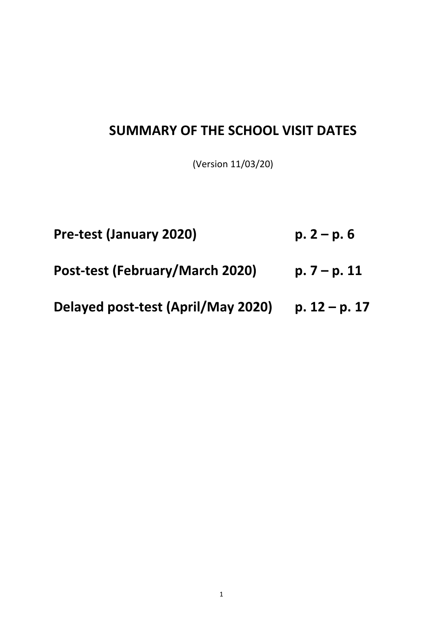## **SUMMARY OF THE SCHOOL VISIT DATES**

(Version 11/03/20)

- **Pre-test (January 2020) p. 2 p. 6**
- **Post-test (February/March 2020) p. 7 – p. 11**
- **Delayed post-test (April/May 2020) p. 12 – p. 17**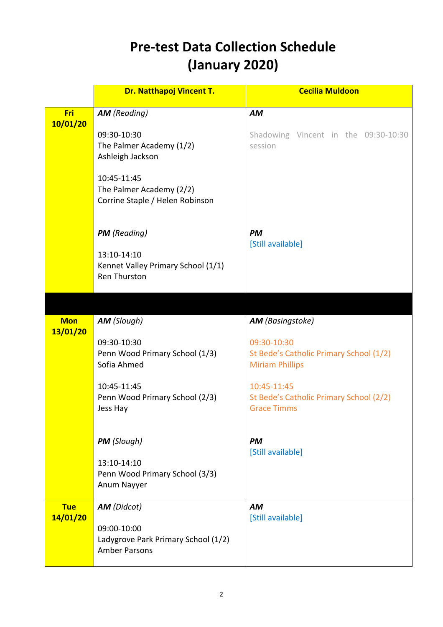## **Pre-test Data Collection Schedule (January 2020)**

|                        | <b>Dr. Natthapoj Vincent T.</b>                                                                  | <b>Cecilia Muldoon</b>                                                                                      |
|------------------------|--------------------------------------------------------------------------------------------------|-------------------------------------------------------------------------------------------------------------|
| Fri<br>10/01/20        | <b>AM</b> (Reading)                                                                              | <b>AM</b>                                                                                                   |
|                        | 09:30-10:30<br>The Palmer Academy (1/2)<br>Ashleigh Jackson                                      | Shadowing Vincent in the 09:30-10:30<br>session                                                             |
|                        | 10:45-11:45<br>The Palmer Academy (2/2)<br>Corrine Staple / Helen Robinson                       |                                                                                                             |
|                        | <b>PM</b> (Reading)<br>13:10-14:10<br>Kennet Valley Primary School (1/1)<br><b>Ren Thurston</b>  | <b>PM</b><br>[Still available]                                                                              |
|                        |                                                                                                  |                                                                                                             |
| <b>Mon</b><br>13/01/20 | <b>AM</b> (Slough)<br>09:30-10:30<br>Penn Wood Primary School (1/3)<br>Sofia Ahmed               | <b>AM</b> (Basingstoke)<br>09:30-10:30<br>St Bede's Catholic Primary School (1/2)<br><b>Miriam Phillips</b> |
|                        | 10:45-11:45<br>Penn Wood Primary School (2/3)<br>Jess Hay                                        | 10:45-11:45<br>St Bede's Catholic Primary School (2/2)<br><b>Grace Timms</b>                                |
|                        | <b>PM</b> (Slough)<br>13:10-14:10<br>Penn Wood Primary School (3/3)<br>Anum Nayyer               | <b>PM</b><br>[Still available]                                                                              |
| <b>Tue</b><br>14/01/20 | <b>AM</b> (Didcot)<br>09:00-10:00<br>Ladygrove Park Primary School (1/2)<br><b>Amber Parsons</b> | <b>AM</b><br>[Still available]                                                                              |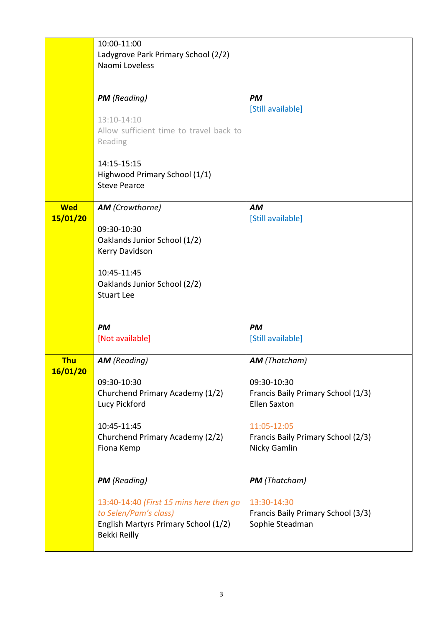|            | 10:00-11:00                                                 |                                    |
|------------|-------------------------------------------------------------|------------------------------------|
|            | Ladygrove Park Primary School (2/2)                         |                                    |
|            | Naomi Loveless                                              |                                    |
|            |                                                             |                                    |
|            |                                                             |                                    |
|            | <b>PM</b> (Reading)                                         | <b>PM</b>                          |
|            |                                                             | [Still available]                  |
|            | 13:10-14:10                                                 |                                    |
|            | Allow sufficient time to travel back to                     |                                    |
|            | Reading                                                     |                                    |
|            |                                                             |                                    |
|            | 14:15-15:15                                                 |                                    |
|            | Highwood Primary School (1/1)                               |                                    |
|            | <b>Steve Pearce</b>                                         |                                    |
|            |                                                             |                                    |
| <b>Wed</b> | <b>AM</b> (Crowthorne)                                      | <b>AM</b>                          |
| 15/01/20   |                                                             | [Still available]                  |
|            | 09:30-10:30                                                 |                                    |
|            | Oaklands Junior School (1/2)                                |                                    |
|            | Kerry Davidson                                              |                                    |
|            |                                                             |                                    |
|            | 10:45-11:45                                                 |                                    |
|            | Oaklands Junior School (2/2)                                |                                    |
|            | <b>Stuart Lee</b>                                           |                                    |
|            |                                                             |                                    |
|            |                                                             |                                    |
|            |                                                             |                                    |
|            | <b>PM</b>                                                   | <b>PM</b>                          |
|            | [Not available]                                             | [Still available]                  |
|            |                                                             |                                    |
| <b>Thu</b> | <b>AM</b> (Reading)                                         | <b>AM</b> (Thatcham)               |
| 16/01/20   |                                                             |                                    |
|            | 09:30-10:30                                                 | 09:30-10:30                        |
|            | Churchend Primary Academy (1/2)                             | Francis Baily Primary School (1/3) |
|            | Lucy Pickford                                               | <b>Ellen Saxton</b>                |
|            |                                                             |                                    |
|            | 10:45-11:45                                                 | 11:05-12:05                        |
|            | Churchend Primary Academy (2/2)                             | Francis Baily Primary School (2/3) |
|            | Fiona Kemp                                                  | Nicky Gamlin                       |
|            |                                                             |                                    |
|            |                                                             |                                    |
|            | <b>PM</b> (Reading)                                         | <b>PM</b> (Thatcham)               |
|            | 13:40-14:40 (First 15 mins here then go                     | 13:30-14:30                        |
|            |                                                             |                                    |
|            | to Selen/Pam's class)                                       | Francis Baily Primary School (3/3) |
|            | English Martyrs Primary School (1/2)<br><b>Bekki Reilly</b> | Sophie Steadman                    |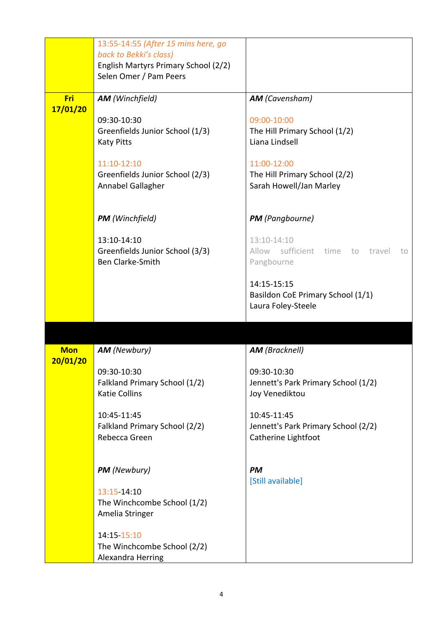|            | 13:55-14:55 (After 15 mins here, go                     |                                                      |
|------------|---------------------------------------------------------|------------------------------------------------------|
|            | back to Bekki's class)                                  |                                                      |
|            | English Martyrs Primary School (2/2)                    |                                                      |
|            | Selen Omer / Pam Peers                                  |                                                      |
| Fri        | <b>AM</b> (Winchfield)                                  | <b>AM</b> (Cavensham)                                |
| 17/01/20   |                                                         |                                                      |
|            | 09:30-10:30                                             | 09:00-10:00                                          |
|            | Greenfields Junior School (1/3)                         | The Hill Primary School (1/2)                        |
|            | <b>Katy Pitts</b>                                       | Liana Lindsell                                       |
|            |                                                         |                                                      |
|            | 11:10-12:10<br>Greenfields Junior School (2/3)          | 11:00-12:00<br>The Hill Primary School (2/2)         |
|            | Annabel Gallagher                                       | Sarah Howell/Jan Marley                              |
|            |                                                         |                                                      |
|            |                                                         |                                                      |
|            | <b>PM</b> (Winchfield)                                  | <b>PM</b> (Pangbourne)                               |
|            |                                                         |                                                      |
|            | 13:10-14:10<br>Greenfields Junior School (3/3)          | 13:10-14:10<br>Allow sufficient time to travel<br>to |
|            | <b>Ben Clarke-Smith</b>                                 | Pangbourne                                           |
|            |                                                         |                                                      |
|            |                                                         | 14:15-15:15                                          |
|            |                                                         | Basildon CoE Primary School (1/1)                    |
|            |                                                         | Laura Foley-Steele                                   |
|            |                                                         |                                                      |
|            |                                                         |                                                      |
| <b>Mon</b> | <b>AM</b> (Newbury)                                     | <b>AM</b> (Bracknell)                                |
| 20/01/20   |                                                         |                                                      |
|            | 09:30-10:30                                             | 09:30-10:30                                          |
|            | Falkland Primary School (1/2)                           | Jennett's Park Primary School (1/2)                  |
|            | <b>Katie Collins</b>                                    | Joy Venediktou                                       |
|            | 10:45-11:45                                             | 10:45-11:45                                          |
|            | Falkland Primary School (2/2)                           | Jennett's Park Primary School (2/2)                  |
|            | Rebecca Green                                           | Catherine Lightfoot                                  |
|            |                                                         |                                                      |
|            |                                                         |                                                      |
|            | <b>PM</b> (Newbury)                                     | PM                                                   |
|            | 13:15-14:10                                             | [Still available]                                    |
|            | The Winchcombe School (1/2)                             |                                                      |
|            | Amelia Stringer                                         |                                                      |
|            |                                                         |                                                      |
|            | 14:15-15:10                                             |                                                      |
|            |                                                         |                                                      |
|            | The Winchcombe School (2/2)<br><b>Alexandra Herring</b> |                                                      |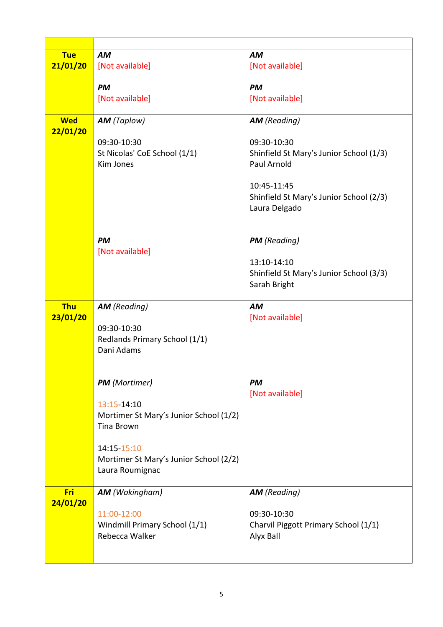| <b>Tue</b> | <b>AM</b>                              | <b>AM</b>                               |
|------------|----------------------------------------|-----------------------------------------|
| 21/01/20   | [Not available]                        | [Not available]                         |
|            |                                        |                                         |
|            | <b>PM</b>                              | <b>PM</b>                               |
|            | [Not available]                        | [Not available]                         |
|            |                                        |                                         |
| <b>Wed</b> | <b>AM</b> (Taplow)                     | <b>AM</b> (Reading)                     |
| 22/01/20   |                                        |                                         |
|            | 09:30-10:30                            | 09:30-10:30                             |
|            | St Nicolas' CoE School (1/1)           | Shinfield St Mary's Junior School (1/3) |
|            | <b>Kim Jones</b>                       | Paul Arnold                             |
|            |                                        |                                         |
|            |                                        | 10:45-11:45                             |
|            |                                        | Shinfield St Mary's Junior School (2/3) |
|            |                                        | Laura Delgado                           |
|            |                                        |                                         |
|            | <b>PM</b>                              | <b>PM</b> (Reading)                     |
|            |                                        |                                         |
|            | [Not available]                        | 13:10-14:10                             |
|            |                                        | Shinfield St Mary's Junior School (3/3) |
|            |                                        | Sarah Bright                            |
|            |                                        |                                         |
| <b>Thu</b> | <b>AM</b> (Reading)                    | <b>AM</b>                               |
|            |                                        |                                         |
|            |                                        |                                         |
| 23/01/20   | 09:30-10:30                            | [Not available]                         |
|            | Redlands Primary School (1/1)          |                                         |
|            | Dani Adams                             |                                         |
|            |                                        |                                         |
|            |                                        |                                         |
|            | <b>PM</b> (Mortimer)                   | <b>PM</b>                               |
|            |                                        | [Not available]                         |
|            | 13:15-14:10                            |                                         |
|            | Mortimer St Mary's Junior School (1/2) |                                         |
|            | <b>Tina Brown</b>                      |                                         |
|            |                                        |                                         |
|            | 14:15-15:10                            |                                         |
|            | Mortimer St Mary's Junior School (2/2) |                                         |
|            | Laura Roumignac                        |                                         |
|            |                                        |                                         |
| Fri        | <b>AM</b> (Wokingham)                  | <b>AM</b> (Reading)                     |
| 24/01/20   |                                        |                                         |
|            | 11:00-12:00                            | 09:30-10:30                             |
|            | Windmill Primary School (1/1)          | Charvil Piggott Primary School (1/1)    |
|            | Rebecca Walker                         | Alyx Ball                               |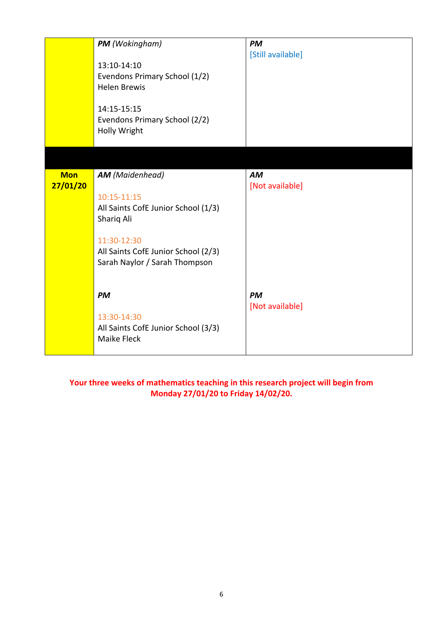|                        | PM (Wokingham)<br>13:10-14:10<br>Evendons Primary School (1/2)<br><b>Helen Brewis</b><br>14:15-15:15<br>Evendons Primary School (2/2)<br>Holly Wright                             | <b>PM</b><br>[Still available] |
|------------------------|-----------------------------------------------------------------------------------------------------------------------------------------------------------------------------------|--------------------------------|
|                        |                                                                                                                                                                                   |                                |
| <b>Mon</b><br>27/01/20 | <b>AM</b> (Maidenhead)<br>10:15-11:15<br>All Saints CofE Junior School (1/3)<br>Shariq Ali<br>11:30-12:30<br>All Saints CofE Junior School (2/3)<br>Sarah Naylor / Sarah Thompson | <b>AM</b><br>[Not available]   |
|                        | <b>PM</b><br>13:30-14:30<br>All Saints CofE Junior School (3/3)<br><b>Maike Fleck</b>                                                                                             | <b>PM</b><br>[Not available]   |

**Your three weeks of mathematics teaching in this research project will begin from Monday 27/01/20 to Friday 14/02/20.**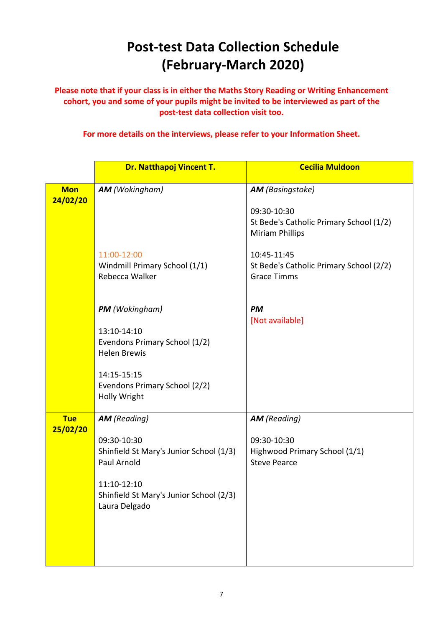## **Post-test Data Collection Schedule (February-March 2020)**

Please note that if your class is in either the Maths Story Reading or Writing Enhancement cohort, you and some of your pupils might be invited to be interviewed as part of the **post-test data collection visit too.** 

For more details on the interviews, please refer to your Information Sheet.

|                        | Dr. Natthapoj Vincent T.                                                | <b>Cecilia Muldoon</b>                                                           |
|------------------------|-------------------------------------------------------------------------|----------------------------------------------------------------------------------|
| <b>Mon</b><br>24/02/20 | <b>AM</b> (Wokingham)                                                   | <b>AM</b> (Basingstoke)                                                          |
|                        |                                                                         | 09:30-10:30<br>St Bede's Catholic Primary School (1/2)<br><b>Miriam Phillips</b> |
|                        | 11:00-12:00<br>Windmill Primary School (1/1)<br>Rebecca Walker          | 10:45-11:45<br>St Bede's Catholic Primary School (2/2)<br><b>Grace Timms</b>     |
|                        | <b>PM</b> (Wokingham)<br>13:10-14:10                                    | <b>PM</b><br>[Not available]                                                     |
|                        | Evendons Primary School (1/2)<br><b>Helen Brewis</b>                    |                                                                                  |
|                        | 14:15-15:15<br>Evendons Primary School (2/2)<br>Holly Wright            |                                                                                  |
| <b>Tue</b><br>25/02/20 | <b>AM</b> (Reading)                                                     | <b>AM</b> (Reading)                                                              |
|                        | 09:30-10:30<br>Shinfield St Mary's Junior School (1/3)<br>Paul Arnold   | 09:30-10:30<br>Highwood Primary School (1/1)<br><b>Steve Pearce</b>              |
|                        | 11:10-12:10<br>Shinfield St Mary's Junior School (2/3)<br>Laura Delgado |                                                                                  |
|                        |                                                                         |                                                                                  |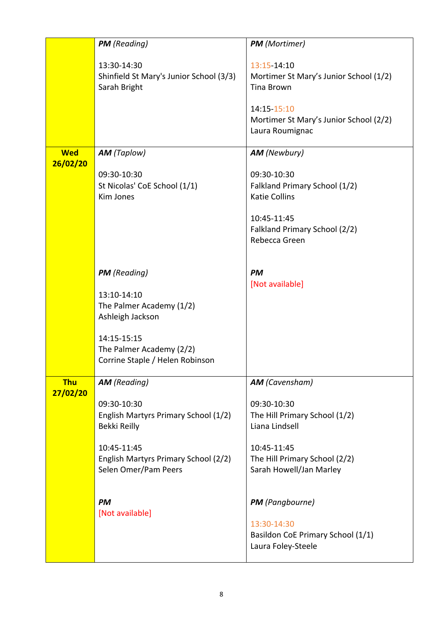|            | <b>PM</b> (Reading)                                                                                                                                | <b>PM</b> (Mortimer)                                                                                                                                   |
|------------|----------------------------------------------------------------------------------------------------------------------------------------------------|--------------------------------------------------------------------------------------------------------------------------------------------------------|
|            | 13:30-14:30<br>Shinfield St Mary's Junior School (3/3)<br>Sarah Bright                                                                             | 13:15-14:10<br>Mortimer St Mary's Junior School (1/2)<br><b>Tina Brown</b><br>14:15-15:10<br>Mortimer St Mary's Junior School (2/2)<br>Laura Roumignac |
| <b>Wed</b> | <b>AM</b> (Taplow)                                                                                                                                 | <b>AM</b> (Newbury)                                                                                                                                    |
| 26/02/20   |                                                                                                                                                    |                                                                                                                                                        |
|            | 09:30-10:30<br>St Nicolas' CoE School (1/1)<br><b>Kim Jones</b>                                                                                    | 09:30-10:30<br>Falkland Primary School (1/2)<br><b>Katie Collins</b><br>10:45-11:45<br>Falkland Primary School (2/2)<br>Rebecca Green                  |
|            | <b>PM</b> (Reading)<br>13:10-14:10<br>The Palmer Academy (1/2)                                                                                     | <b>PM</b><br>[Not available]                                                                                                                           |
|            | Ashleigh Jackson<br>14:15-15:15<br>The Palmer Academy (2/2)<br>Corrine Staple / Helen Robinson                                                     |                                                                                                                                                        |
| <b>Thu</b> | <b>AM</b> (Reading)                                                                                                                                | <b>AM</b> (Cavensham)                                                                                                                                  |
| 27/02/20   | 09:30-10:30<br>English Martyrs Primary School (1/2)<br>Bekki Reilly<br>10:45-11:45<br>English Martyrs Primary School (2/2)<br>Selen Omer/Pam Peers | 09:30-10:30<br>The Hill Primary School (1/2)<br>Liana Lindsell<br>10:45-11:45<br>The Hill Primary School (2/2)<br>Sarah Howell/Jan Marley              |
|            | <b>PM</b><br>[Not available]                                                                                                                       | <b>PM</b> (Pangbourne)<br>13:30-14:30<br>Basildon CoE Primary School (1/1)<br>Laura Foley-Steele                                                       |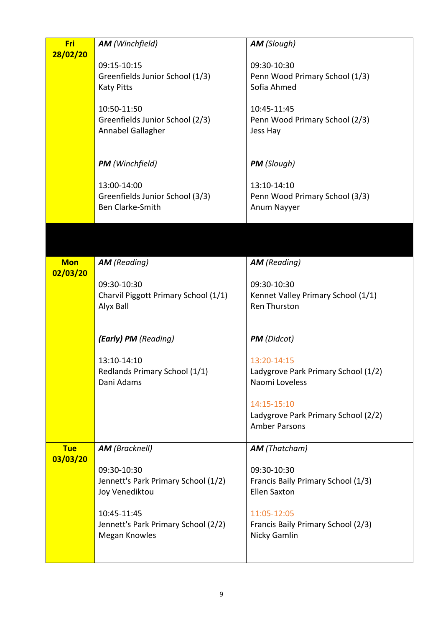| Fri        | <b>AM</b> (Winchfield)               | <b>AM</b> (Slough)                  |
|------------|--------------------------------------|-------------------------------------|
| 28/02/20   |                                      |                                     |
|            | 09:15-10:15                          | 09:30-10:30                         |
|            | Greenfields Junior School (1/3)      | Penn Wood Primary School (1/3)      |
|            | <b>Katy Pitts</b>                    | Sofia Ahmed                         |
|            | 10:50-11:50                          | 10:45-11:45                         |
|            | Greenfields Junior School (2/3)      | Penn Wood Primary School (2/3)      |
|            | Annabel Gallagher                    | Jess Hay                            |
|            |                                      |                                     |
|            |                                      |                                     |
|            | <b>PM</b> (Winchfield)               | <b>PM</b> (Slough)                  |
|            | 13:00-14:00                          | 13:10-14:10                         |
|            | Greenfields Junior School (3/3)      | Penn Wood Primary School (3/3)      |
|            | <b>Ben Clarke-Smith</b>              | Anum Nayyer                         |
|            |                                      |                                     |
|            |                                      |                                     |
|            |                                      |                                     |
| <b>Mon</b> | <b>AM</b> (Reading)                  | <b>AM</b> (Reading)                 |
| 02/03/20   |                                      |                                     |
|            | 09:30-10:30                          | 09:30-10:30                         |
|            | Charvil Piggott Primary School (1/1) | Kennet Valley Primary School (1/1)  |
|            | Alyx Ball                            | <b>Ren Thurston</b>                 |
|            |                                      |                                     |
|            | (Early) PM (Reading)                 | <b>PM</b> (Didcot)                  |
|            |                                      |                                     |
|            | 13:10-14:10                          | 13:20-14:15                         |
|            | Redlands Primary School (1/1)        | Ladygrove Park Primary School (1/2) |
|            | Dani Adams                           | Naomi Loveless                      |
|            |                                      | 14:15-15:10                         |
|            |                                      | Ladygrove Park Primary School (2/2) |
|            |                                      | <b>Amber Parsons</b>                |
|            |                                      |                                     |
| <b>Tue</b> | <b>AM</b> (Bracknell)                | <b>AM</b> (Thatcham)                |
| 03/03/20   | 09:30-10:30                          | 09:30-10:30                         |
|            | Jennett's Park Primary School (1/2)  | Francis Baily Primary School (1/3)  |
|            | Joy Venediktou                       | <b>Ellen Saxton</b>                 |
|            |                                      |                                     |
|            | 10:45-11:45                          | 11:05-12:05                         |
|            | Jennett's Park Primary School (2/2)  | Francis Baily Primary School (2/3)  |
|            | Megan Knowles                        | Nicky Gamlin                        |
|            |                                      |                                     |
|            |                                      |                                     |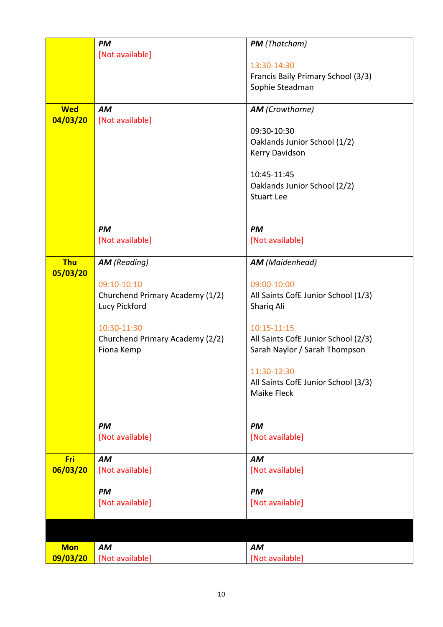|            | <b>PM</b>                       | <b>PM</b> (Thatcham)                |
|------------|---------------------------------|-------------------------------------|
|            | [Not available]                 |                                     |
|            |                                 | 13:30-14:30                         |
|            |                                 | Francis Baily Primary School (3/3)  |
|            |                                 | Sophie Steadman                     |
|            |                                 |                                     |
| <b>Wed</b> | <b>AM</b>                       | <b>AM</b> (Crowthorne)              |
| 04/03/20   | [Not available]                 |                                     |
|            |                                 | 09:30-10:30                         |
|            |                                 | Oaklands Junior School (1/2)        |
|            |                                 | Kerry Davidson                      |
|            |                                 | 10:45-11:45                         |
|            |                                 | Oaklands Junior School (2/2)        |
|            |                                 | <b>Stuart Lee</b>                   |
|            |                                 |                                     |
|            | <b>PM</b>                       | <b>PM</b>                           |
|            | [Not available]                 | [Not available]                     |
|            |                                 |                                     |
| <b>Thu</b> | <b>AM</b> (Reading)             | <b>AM</b> (Maidenhead)              |
| 05/03/20   |                                 |                                     |
|            | 09:10-10:10                     | 09:00-10:00                         |
|            | Churchend Primary Academy (1/2) | All Saints CofE Junior School (1/3) |
|            | Lucy Pickford                   | Shariq Ali                          |
|            | 10:30-11:30                     | 10:15-11:15                         |
|            | Churchend Primary Academy (2/2) | All Saints CofE Junior School (2/3) |
|            | Fiona Kemp                      | Sarah Naylor / Sarah Thompson       |
|            |                                 |                                     |
|            |                                 | 11:30-12:30                         |
|            |                                 | All Saints CofE Junior School (3/3) |
|            |                                 | Maike Fleck                         |
|            |                                 |                                     |
|            | <b>PM</b>                       | <b>PM</b>                           |
|            | [Not available]                 | [Not available]                     |
|            |                                 |                                     |
| Fri        | <b>AM</b>                       | <b>AM</b>                           |
| 06/03/20   | [Not available]                 | [Not available]                     |
|            |                                 |                                     |
|            | <b>PM</b>                       | <b>PM</b>                           |
|            | [Not available]                 | [Not available]                     |
|            |                                 |                                     |
|            |                                 |                                     |
| <b>Mon</b> | AM                              | AM                                  |
| 09/03/20   | [Not available]                 | [Not available]                     |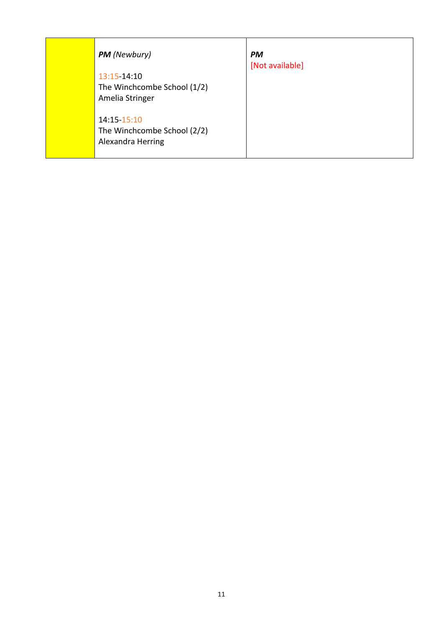| <b>PM</b> (Newbury)<br>13:15-14:10<br>The Winchcombe School (1/2)<br>Amelia Stringer<br>$14:15 - 15:10$<br>The Winchcombe School (2/2)<br>Alexandra Herring | <b>PM</b><br>[Not available] |
|-------------------------------------------------------------------------------------------------------------------------------------------------------------|------------------------------|
|-------------------------------------------------------------------------------------------------------------------------------------------------------------|------------------------------|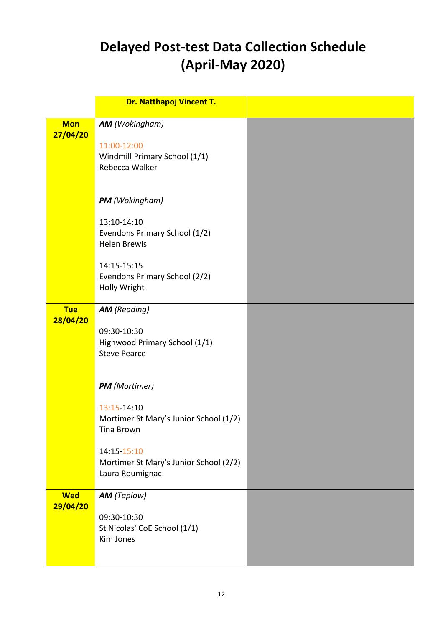## **Delayed Post-test Data Collection Schedule (April-May 2020)**

|                        | <b>Dr. Natthapoj Vincent T.</b>                                                                                                                                                                                                                                              |  |
|------------------------|------------------------------------------------------------------------------------------------------------------------------------------------------------------------------------------------------------------------------------------------------------------------------|--|
| <b>Mon</b><br>27/04/20 | <b>AM</b> (Wokingham)<br>11:00-12:00<br>Windmill Primary School (1/1)<br>Rebecca Walker                                                                                                                                                                                      |  |
|                        | <b>PM</b> (Wokingham)<br>13:10-14:10<br>Evendons Primary School (1/2)<br><b>Helen Brewis</b><br>14:15-15:15<br>Evendons Primary School (2/2)<br>Holly Wright                                                                                                                 |  |
| <b>Tue</b><br>28/04/20 | <b>AM</b> (Reading)<br>09:30-10:30<br>Highwood Primary School (1/1)<br><b>Steve Pearce</b><br><b>PM</b> (Mortimer)<br>13:15 14:10<br>Mortimer St Mary's Junior School (1/2)<br><b>Tina Brown</b><br>14:15-15:10<br>Mortimer St Mary's Junior School (2/2)<br>Laura Roumignac |  |
| <b>Wed</b><br>29/04/20 | <b>AM</b> (Taplow)<br>09:30-10:30<br>St Nicolas' CoE School (1/1)<br>Kim Jones                                                                                                                                                                                               |  |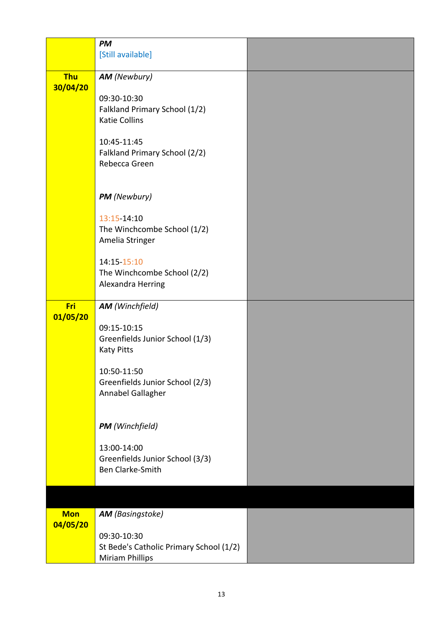|            | PM                                      |  |
|------------|-----------------------------------------|--|
|            | [Still available]                       |  |
|            |                                         |  |
| <b>Thu</b> | <b>AM</b> (Newbury)                     |  |
| 30/04/20   |                                         |  |
|            | 09:30-10:30                             |  |
|            | Falkland Primary School (1/2)           |  |
|            | <b>Katie Collins</b>                    |  |
|            |                                         |  |
|            | 10:45-11:45                             |  |
|            | Falkland Primary School (2/2)           |  |
|            | Rebecca Green                           |  |
|            |                                         |  |
|            |                                         |  |
|            | PM (Newbury)                            |  |
|            | 13:15-14:10                             |  |
|            | The Winchcombe School (1/2)             |  |
|            | Amelia Stringer                         |  |
|            |                                         |  |
|            | 14:15-15:10                             |  |
|            | The Winchcombe School (2/2)             |  |
|            | Alexandra Herring                       |  |
|            |                                         |  |
| Fri        | <b>AM</b> (Winchfield)                  |  |
| 01/05/20   |                                         |  |
|            | 09:15-10:15                             |  |
|            | Greenfields Junior School (1/3)         |  |
|            | <b>Katy Pitts</b>                       |  |
|            |                                         |  |
|            | 10:50-11:50                             |  |
|            | Greenfields Junior School (2/3)         |  |
|            | Annabel Gallagher                       |  |
|            |                                         |  |
|            | <b>PM</b> (Winchfield)                  |  |
|            |                                         |  |
|            | 13:00-14:00                             |  |
|            | Greenfields Junior School (3/3)         |  |
|            | <b>Ben Clarke-Smith</b>                 |  |
|            |                                         |  |
|            |                                         |  |
|            |                                         |  |
| <b>Mon</b> | <b>AM</b> (Basingstoke)                 |  |
| 04/05/20   |                                         |  |
|            | 09:30-10:30                             |  |
|            | St Bede's Catholic Primary School (1/2) |  |
|            | <b>Miriam Phillips</b>                  |  |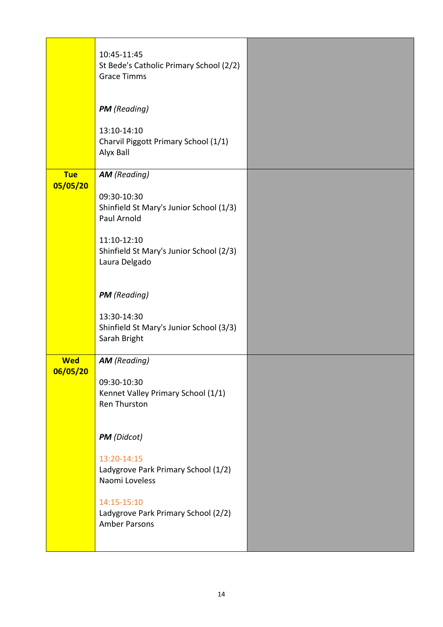|                        | 10:45-11:45<br>St Bede's Catholic Primary School (2/2)<br><b>Grace Timms</b> |  |
|------------------------|------------------------------------------------------------------------------|--|
|                        | <b>PM</b> (Reading)                                                          |  |
|                        | 13:10-14:10<br>Charvil Piggott Primary School (1/1)<br>Alyx Ball             |  |
| <b>Tue</b><br>05/05/20 | <b>AM</b> (Reading)                                                          |  |
|                        | 09:30-10:30<br>Shinfield St Mary's Junior School (1/3)<br>Paul Arnold        |  |
|                        | 11:10-12:10<br>Shinfield St Mary's Junior School (2/3)<br>Laura Delgado      |  |
|                        | <b>PM</b> (Reading)                                                          |  |
|                        | 13:30-14:30<br>Shinfield St Mary's Junior School (3/3)<br>Sarah Bright       |  |
| <b>Wed</b><br>06/05/20 | <b>AM</b> (Reading)                                                          |  |
|                        | 09:30-10:30<br>Kennet Valley Primary School (1/1)<br><b>Ren Thurston</b>     |  |
|                        | <b>PM</b> (Didcot)                                                           |  |
|                        | 13:20-14:15<br>Ladygrove Park Primary School (1/2)<br>Naomi Loveless         |  |
|                        | 14:15-15:10<br>Ladygrove Park Primary School (2/2)<br><b>Amber Parsons</b>   |  |
|                        |                                                                              |  |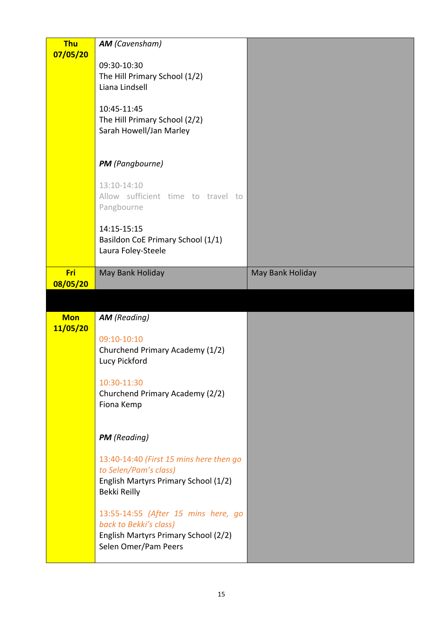| <b>Thu</b> | <b>AM</b> (Cavensham)                   |                  |
|------------|-----------------------------------------|------------------|
| 07/05/20   |                                         |                  |
|            | 09:30-10:30                             |                  |
|            |                                         |                  |
|            | The Hill Primary School (1/2)           |                  |
|            | Liana Lindsell                          |                  |
|            |                                         |                  |
|            | 10:45-11:45                             |                  |
|            | The Hill Primary School (2/2)           |                  |
|            |                                         |                  |
|            | Sarah Howell/Jan Marley                 |                  |
|            |                                         |                  |
|            |                                         |                  |
|            | <b>PM</b> (Pangbourne)                  |                  |
|            |                                         |                  |
|            | 13:10-14:10                             |                  |
|            | Allow sufficient time to travel to      |                  |
|            |                                         |                  |
|            | Pangbourne                              |                  |
|            |                                         |                  |
|            | 14:15-15:15                             |                  |
|            | Basildon CoE Primary School (1/1)       |                  |
|            | Laura Foley-Steele                      |                  |
|            |                                         |                  |
|            |                                         |                  |
| Fri        | May Bank Holiday                        | May Bank Holiday |
| 08/05/20   |                                         |                  |
|            |                                         |                  |
|            |                                         |                  |
|            |                                         |                  |
|            |                                         |                  |
| <b>Mon</b> | <b>AM</b> (Reading)                     |                  |
| 11/05/20   |                                         |                  |
|            | 09:10-10:10                             |                  |
|            | Churchend Primary Academy (1/2)         |                  |
|            | Lucy Pickford                           |                  |
|            |                                         |                  |
|            | 10:30-11:30                             |                  |
|            |                                         |                  |
|            | Churchend Primary Academy (2/2)         |                  |
|            | Fiona Kemp                              |                  |
|            |                                         |                  |
|            |                                         |                  |
|            | <b>PM</b> (Reading)                     |                  |
|            |                                         |                  |
|            |                                         |                  |
|            | 13:40-14:40 (First 15 mins here then go |                  |
|            | to Selen/Pam's class)                   |                  |
|            | English Martyrs Primary School (1/2)    |                  |
|            | Bekki Reilly                            |                  |
|            |                                         |                  |
|            | 13:55-14:55 (After 15 mins here, go     |                  |
|            |                                         |                  |
|            | back to Bekki's class)                  |                  |
|            | English Martyrs Primary School (2/2)    |                  |
|            | Selen Omer/Pam Peers                    |                  |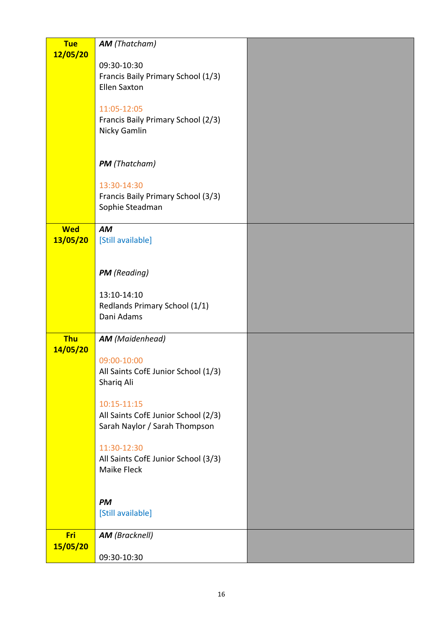| <b>Tue</b>             | <b>AM</b> (Thatcham)                               |  |
|------------------------|----------------------------------------------------|--|
| 12/05/20               |                                                    |  |
|                        | 09:30-10:30<br>Francis Baily Primary School (1/3)  |  |
|                        | <b>Ellen Saxton</b>                                |  |
|                        |                                                    |  |
|                        | 11:05-12:05                                        |  |
|                        | Francis Baily Primary School (2/3)<br>Nicky Gamlin |  |
|                        |                                                    |  |
|                        |                                                    |  |
|                        | <b>PM</b> (Thatcham)                               |  |
|                        | 13:30-14:30                                        |  |
|                        | Francis Baily Primary School (3/3)                 |  |
|                        | Sophie Steadman                                    |  |
| <b>Wed</b>             | AM                                                 |  |
| 13/05/20               | [Still available]                                  |  |
|                        |                                                    |  |
|                        | <b>PM</b> (Reading)                                |  |
|                        |                                                    |  |
|                        | 13:10-14:10                                        |  |
|                        | Redlands Primary School (1/1)<br>Dani Adams        |  |
|                        |                                                    |  |
| <b>Thu</b>             | <b>AM</b> (Maidenhead)                             |  |
| 14/05/20               | 09:00-10:00                                        |  |
|                        | All Saints CofE Junior School (1/3)                |  |
|                        | Shariq Ali                                         |  |
|                        | 10:15-11:15                                        |  |
|                        | All Saints CofE Junior School (2/3)                |  |
|                        | Sarah Naylor / Sarah Thompson                      |  |
|                        |                                                    |  |
|                        | 11:30-12:30<br>All Saints CofE Junior School (3/3) |  |
|                        | Maike Fleck                                        |  |
|                        |                                                    |  |
|                        | <b>PM</b>                                          |  |
|                        | [Still available]                                  |  |
|                        |                                                    |  |
| <b>Fri</b><br>15/05/20 | <b>AM</b> (Bracknell)                              |  |
|                        | 09:30-10:30                                        |  |